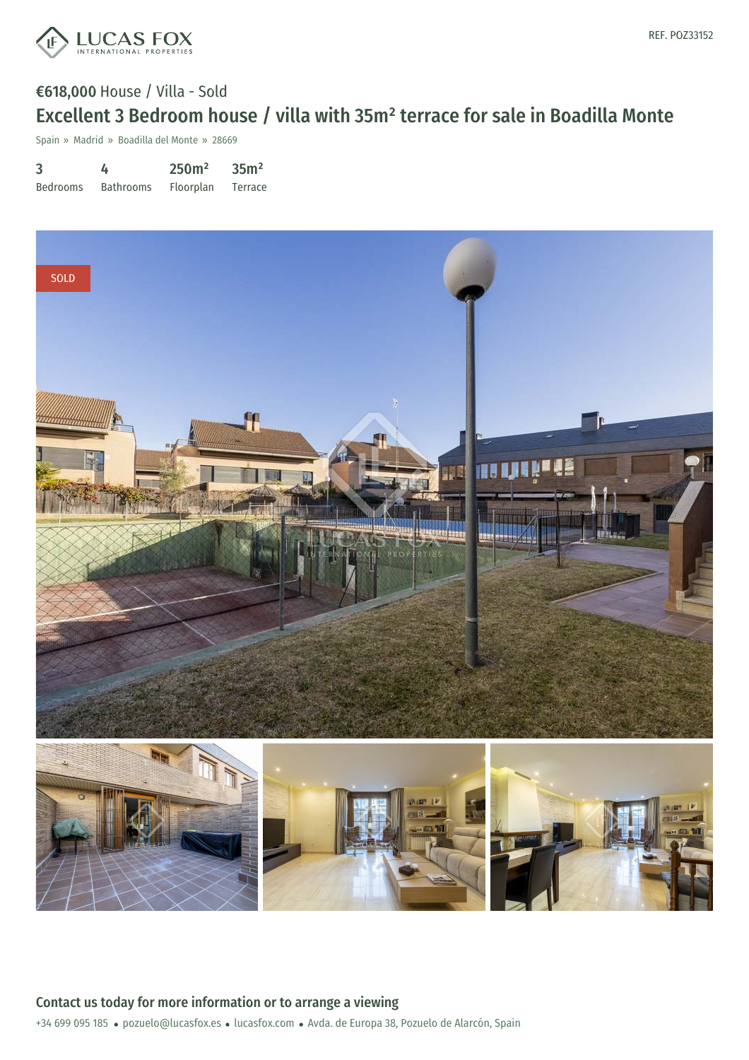

## €618,000 House / Villa - Sold Excellent 3 Bedroom house / villa with 35m² terrace for sale in Boadilla Monte

Spain » Madrid » Boadilla del Monte » 28669

3 Bedrooms 4 Bathrooms 250m² Floorplan 35m² Terrace



+34 699 095 185 · pozuelo@lucasfox.es · lucasfox.com · Avda. de Europa 38, Pozuelo de Alarcón, Spain Contact us today for more information or to arrange a viewing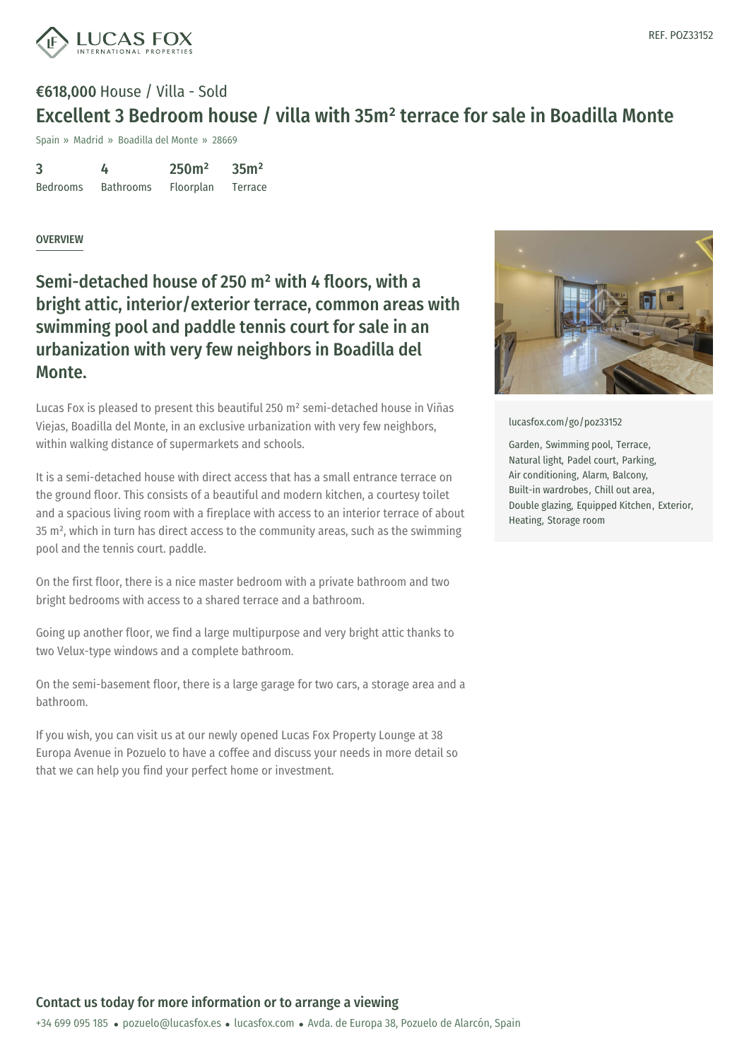

## €618,000 House / Villa - Sold Excellent 3 Bedroom house / villa with 35m² terrace for sale in Boadilla Monte

Spain » Madrid » Boadilla del Monte » 28669

3 Bedrooms 4 Bathrooms 250m² Floorplan 35m² Terrace

## OVERVIEW

Semi-detached house of 250 m² with 4 floors, with a bright attic, interior/exterior terrace, common areas with swimming pool and paddle tennis court for sale in an urbanization with very few neighbors in Boadilla del Monte.

Lucas Fox is pleased to present this beautiful 250 m² semi-detached house in Viñas Viejas, Boadilla del Monte, in an exclusive urbanization with very few neighbors, within walking distance of supermarkets and schools.

It is a semi-detached house with direct access that has a small entrance terrace on the ground floor. This consists of a beautiful and modern kitchen, a courtesy toilet and a spacious living room with a fireplace with access to an interior terrace of about 35 m², which in turn has direct access to the community areas, such as the swimming pool and the tennis court. paddle.

On the first floor, there is a nice master bedroom with a private bathroom and two bright bedrooms with access to a shared terrace and a bathroom.

Going up another floor, we find a large multipurpose and very bright attic thanks to two Velux-type windows and a complete bathroom.

On the semi-basement floor, there is a large garage for two cars, a storage area and a bathroom.

If you wish, you can visit us at our newly opened Lucas Fox Property Lounge at 38 Europa Avenue in Pozuelo to have a coffee and discuss your needs in more detail so that we can help you find your perfect home or investment.



[lucasfox.com/go/poz33152](https://www.lucasfox.com/go/poz33152)

Garden, Swimming pool, Terrace, Natural light, Padel court, Parking, Air conditioning, Alarm, Balcony, Built-in wardrobes, Chill out area, Double glazing, Equipped Kitchen, Exterior, Heating, Storage room